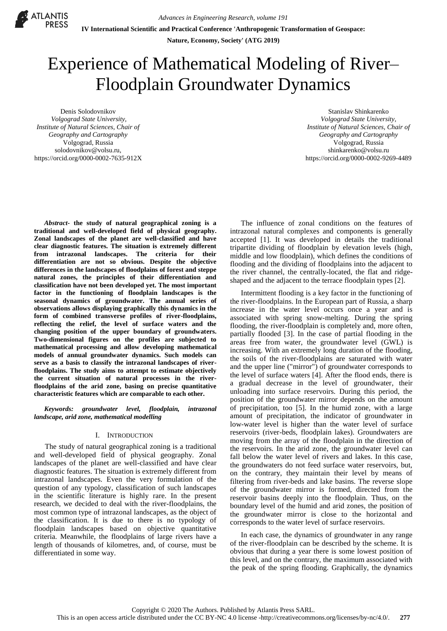**IV International Scientific and Practical Conference 'Anthropogenic Transformation of Geospace:**

**Nature, Economy, Society' (ATG 2019)**

# Experience of Mathematical Modeling of River– Floodplain Groundwater Dynamics

Denis Solodovnikov *Volgograd State University, Institute of Natural Sciences, Chair of Geography and Cartography*  Volgograd, Russia solodovnikov@volsu.ru, https://orcid.org/0000-0002-7635-912X

**ATLANTIS** 

Stanislav Shinkarenko *Volgograd State University, Institute of Natural Sciences, Chair of Geography and Cartography*  Volgograd, Russia [shinkarenko@volsu.ru](mailto:shinkarenko@volsu.ru) [https://orcid.org/0000-0002-9269-4489](https://vk.com/away.php?to=https%3A%2F%2Forcid.org%2F0000-0002-9269-4489&cc_key=)

*Abstract***- the study of natural geographical zoning is a traditional and well-developed field of physical geography. Zonal landscapes of the planet are well-classified and have clear diagnostic features. The situation is extremely different from intrazonal landscapes. The criteria for their differentiation are not so obvious. Despite the objective differences in the landscapes of floodplains of forest and steppe natural zones, the principles of their differentiation and classification have not been developed yet. The most important factor in the functioning of floodplain landscapes is the seasonal dynamics of groundwater. The annual series of observations allows displaying graphically this dynamics in the form of combined transverse profiles of river-floodplains, reflecting the relief, the level of surface waters and the changing position of the upper boundary of groundwaters. Two-dimensional figures on the profiles are subjected to mathematical processing and allow developing mathematical models of annual groundwater dynamics. Such models can serve as a basis to classify the intrazonal landscapes of riverfloodplains. The study aims to attempt to estimate objectively the current situation of natural processes in the riverfloodplains of the arid zone, basing on precise quantitative characteristic features which are comparable to each other.** 

*Keywords: groundwater level, floodplain, intrazonal landscape, arid zone, mathematical modelling*

# I. INTRODUCTION

The study of natural geographical zoning is a traditional and well-developed field of physical geography. Zonal landscapes of the planet are well-classified and have clear diagnostic features. The situation is extremely different from intrazonal landscapes. Even the very formulation of the question of any typology, classification of such landscapes in the scientific literature is highly rare. In the present research, we decided to deal with the river-floodplains, the most common type of intrazonal landscapes, as the object of the classification. It is due to there is no typology of floodplain landscapes based on objective quantitative criteria. Meanwhile, the floodplains of large rivers have a length of thousands of kilometres, and, of course, must be differentiated in some way.

The influence of zonal conditions on the features of intrazonal natural complexes and components is generally accepted [1]. It was developed in details the traditional tripartite dividing of floodplain by elevation levels (high, middle and low floodplain), which defines the conditions of flooding and the dividing of floodplains into the adjacent to the river channel, the centrally-located, the flat and ridgeshaped and the adjacent to the terrace floodplain types [2].

Intermittent flooding is a key factor in the functioning of the river-floodplains. In the European part of Russia, a sharp increase in the water level occurs once a year and is associated with spring snow-melting. During the spring flooding, the river-floodplain is completely and, more often, partially flooded [3]. In the case of partial flooding in the areas free from water, the groundwater level (GWL) is increasing. With an extremely long duration of the flooding, the soils of the river-floodplains are saturated with water and the upper line ("mirror") of groundwater corresponds to the level of surface waters [4]. After the flood ends, there is a gradual decrease in the level of groundwater, their unloading into surface reservoirs. During this period, the position of the groundwater mirror depends on the amount of precipitation, too [5]. In the humid zone, with a large amount of precipitation, the indicator of groundwater in low-water level is higher than the water level of surface reservoirs (river-beds, floodplain lakes). Groundwaters are moving from the array of the floodplain in the direction of the reservoirs. In the arid zone, the groundwater level can fall below the water level of rivers and lakes. In this case, the groundwaters do not feed surface water reservoirs, but, on the contrary, they maintain their level by means of filtering from river-beds and lake basins. The reverse slope of the groundwater mirror is formed, directed from the reservoir basins deeply into the floodplain. Thus, on the boundary level of the humid and arid zones, the position of the groundwater mirror is close to the horizontal and corresponds to the water level of surface reservoirs.

In each case, the dynamics of groundwater in any range of the river-floodplain can be described by the scheme. It is obvious that during a year there is some lowest position of this level, and on the contrary, the maximum associated with the peak of the spring flooding. Graphically, the dynamics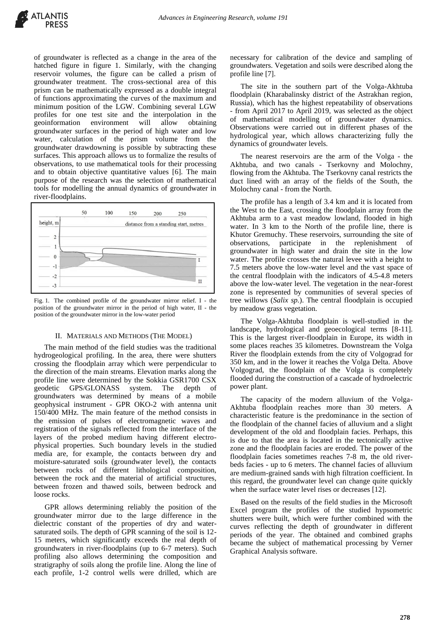of groundwater is reflected as a change in the area of the hatched figure in figure 1. Similarly, with the changing reservoir volumes, the figure can be called a prism of groundwater treatment. The cross-sectional area of this prism can be mathematically expressed as a double integral of functions approximating the curves of the maximum and minimum position of the LGW. Combining several LGW profiles for one test site and the interpolation in the geoinformation environment will allow obtaining groundwater surfaces in the period of high water and low water, calculation of the prism volume from the groundwater drawdowning is possible by subtracting these surfaces. This approach allows us to formalize the results of observations, to use mathematical tools for their processing and to obtain objective quantitative values [6]. The main purpose of the research was the selection of mathematical tools for modelling the annual dynamics of groundwater in river-floodplains.



Fig. 1. The combined profile of the groundwater mirror relief. I - the position of the groundwater mirror in the period of high water, II - the position of the groundwater mirror in the low-water period

## II. MATERIALS AND METHODS (THE MODEL)

The main method of the field studies was the traditional hydrogeological profiling. In the area, there were shutters crossing the floodplain array which were perpendicular to the direction of the main streams. Elevation marks along the profile line were determined by the Sokkia GSR1700 CSX geodetic GPS/GLONASS system. The depth of groundwaters was determined by means of a mobile geophysical instrument - GPR OKO-2 with antenna unit 150/400 MHz. The main feature of the method consists in the emission of pulses of electromagnetic waves and registration of the signals reflected from the interface of the layers of the probed medium having different electrophysical properties. Such boundary levels in the studied media are, for example, the contacts between dry and moisture-saturated soils (groundwater level), the contacts between rocks of different lithological composition, between the rock and the material of artificial structures, between frozen and thawed soils, between bedrock and loose rocks.

GPR allows determining reliably the position of the groundwater mirror due to the large difference in the dielectric constant of the properties of dry and watersaturated soils. The depth of GPR scanning of the soil is 12- 15 meters, which significantly exceeds the real depth of groundwaters in river-floodplains (up to 6-7 meters). Such profiling also allows determining the composition and stratigraphy of soils along the profile line. Along the line of each profile, 1-2 control wells were drilled, which are

necessary for calibration of the device and sampling of groundwaters. Vegetation and soils were described along the profile line [7].

The site in the southern part of the Volga-Akhtuba floodplain (Kharabalinsky district of the Astrakhan region, Russia), which has the highest repeatability of observations - from April 2017 to April 2019, was selected as the object of mathematical modelling of groundwater dynamics. Observations were carried out in different phases of the hydrological year, which allows characterizing fully the dynamics of groundwater levels.

The nearest reservoirs are the arm of the Volga - the Akhtuba, and two canals - Tserkovny and Molochny, flowing from the Akhtuba. The Tserkovny canal restricts the duct lined with an array of the fields of the South, the Molochny canal - from the North.

The profile has a length of 3.4 km and it is located from the West to the East, crossing the floodplain array from the Akhtuba arm to a vast meadow lowland, flooded in high water. In 3 km to the North of the profile line, there is Khutor Gremuchy. These reservoirs, surrounding the site of observations, participate in the replenishment of groundwater in high water and drain the site in the low water. The profile crosses the natural levee with a height to 7.5 meters above the low-water level and the vast space of the central floodplain with the indicators of 4.5-4.8 meters above the low-water level. The vegetation in the near-forest zone is represented by communities of several species of tree willows (*Salix sp.*). The central floodplain is occupied by meadow grass vegetation.

The Volga-Akhtuba floodplain is well-studied in the landscape, hydrological and geoecological terms [8-11]. This is the largest river-floodplain in Europe, its width in some places reaches 35 kilometres. Downstream the Volga River the floodplain extends from the city of Volgograd for 350 km, and in the lower it reaches the Volga Delta. Above Volgograd, the floodplain of the Volga is completely flooded during the construction of a cascade of hydroelectric power plant.

The capacity of the modern alluvium of the Volga-Akhtuba floodplain reaches more than 30 meters. A characteristic feature is the predominance in the section of the floodplain of the channel facies of alluvium and a slight development of the old and floodplain facies. Perhaps, this is due to that the area is located in the tectonically active zone and the floodplain facies are eroded. The power of the floodplain facies sometimes reaches 7-8 m, the old riverbeds facies - up to 6 meters. The channel facies of alluvium are medium-grained sands with high filtration coefficient. In this regard, the groundwater level can change quite quickly when the surface water level rises or decreases [12].

Based on the results of the field studies in the Microsoft Excel program the profiles of the studied hypsometric shutters were built, which were further combined with the curves reflecting the depth of groundwater in different periods of the year. The obtained and combined graphs became the subject of mathematical processing by Verner Graphical Analysis software.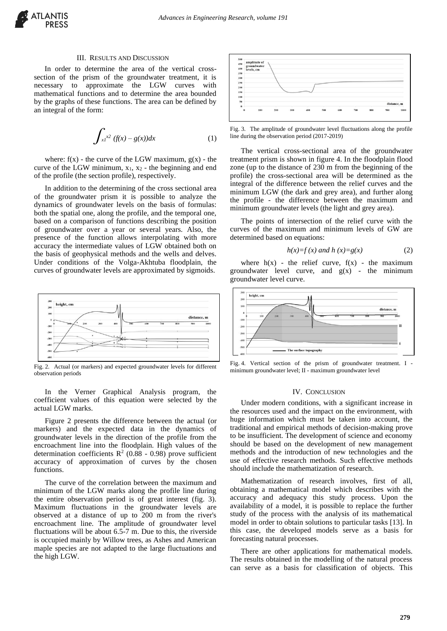

# III. RESULTS AND DISCUSSION

In order to determine the area of the vertical crosssection of the prism of the groundwater treatment, it is necessary to approximate the LGW curves with mathematical functions and to determine the area bounded by the graphs of these functions. The area can be defined by an integral of the form:

$$
\int_{xI} x^2 (f(x) - g(x)) dx
$$
 (1)

where:  $f(x)$  - the curve of the LGW maximum,  $g(x)$  - the curve of the LGW minimum,  $x_1$ ,  $x_2$  - the beginning and end of the profile (the section profile), respectively.

In addition to the determining of the cross sectional area of the groundwater prism it is possible to analyze the dynamics of groundwater levels on the basis of formulas: both the spatial one, along the profile, and the temporal one, based on a comparison of functions describing the position of groundwater over a year or several years. Also, the presence of the function allows interpolating with more accuracy the intermediate values of LGW obtained both on the basis of geophysical methods and the wells and delves. Under conditions of the Volga-Akhtuba floodplain, the curves of groundwater levels are approximated by sigmoids.



Fig. 2. Actual (or markers) and expected groundwater levels for different observation periods

In the Verner Graphical Analysis program, the coefficient values of this equation were selected by the actual LGW marks.

Figure 2 presents the difference between the actual (or markers) and the expected data in the dynamics of groundwater levels in the direction of the profile from the encroachment line into the floodplain. High values of the determination coefficients  $\mathbb{R}^2$  (0.88 - 0.98) prove sufficient accuracy of approximation of curves by the chosen functions.

The curve of the correlation between the maximum and minimum of the LGW marks along the profile line during the entire observation period is of great interest (fig. 3). Maximum fluctuations in the groundwater levels are observed at a distance of up to 200 m from the river's encroachment line. The amplitude of groundwater level fluctuations will be about 6.5-7 m. Due to this, the riverside is occupied mainly by Willow trees, as Ashes and American maple species are not adapted to the large fluctuations and the high LGW.



Fig. 3. The amplitude of groundwater level fluctuations along the profile line during the observation period (2017-2019)

The vertical cross-sectional area of the groundwater treatment prism is shown in figure 4. In the floodplain flood zone (up to the distance of 230 m from the beginning of the profile) the cross-sectional area will be determined as the integral of the difference between the relief curves and the minimum LGW (the dark and grey area), and further along the profile - the difference between the maximum and minimum groundwater levels (the light and grey area).

The points of intersection of the relief curve with the curves of the maximum and minimum levels of GW are determined based on equations:

$$
h(x)=f(x) \text{ and } h(x)=g(x) \tag{2}
$$

where  $h(x)$  - the relief curve,  $f(x)$  - the maximum groundwater level curve, and  $g(x)$  - the minimum groundwater level curve.



Fig. 4. Vertical section of the prism of groundwater treatment. I minimum groundwater level; II - maximum groundwater level

### IV. CONCLUSION

Under modern conditions, with a significant increase in the resources used and the impact on the environment, with huge information which must be taken into account, the traditional and empirical methods of decision-making prove to be insufficient. The development of science and economy should be based on the development of new management methods and the introduction of new technologies and the use of effective research methods. Such effective methods should include the mathematization of research.

Mathematization of research involves, first of all, obtaining a mathematical model which describes with the accuracy and adequacy this study process. Upon the availability of a model, it is possible to replace the further study of the process with the analysis of its mathematical model in order to obtain solutions to particular tasks [13]. In this case, the developed models serve as a basis for forecasting natural processes.

There are other applications for mathematical models. The results obtained in the modelling of the natural process can serve as a basis for classification of objects. This